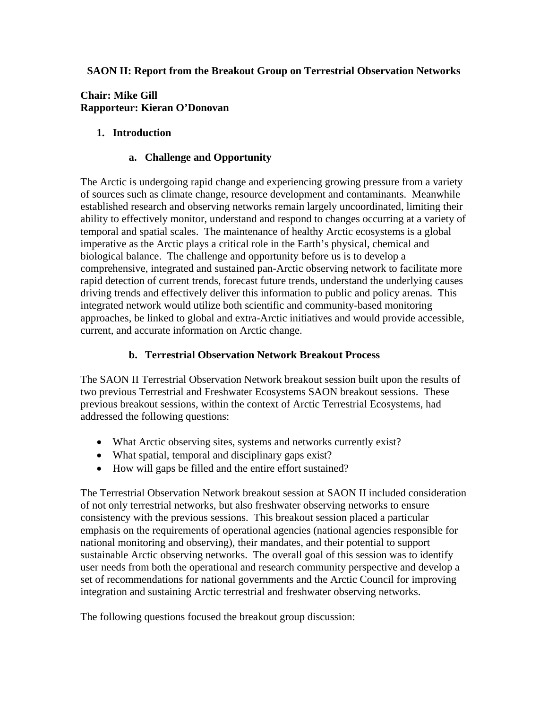#### **SAON II: Report from the Breakout Group on Terrestrial Observation Networks**

#### **Chair: Mike Gill Rapporteur: Kieran O'Donovan**

### **1. Introduction**

#### **a. Challenge and Opportunity**

The Arctic is undergoing rapid change and experiencing growing pressure from a variety of sources such as climate change, resource development and contaminants. Meanwhile established research and observing networks remain largely uncoordinated, limiting their ability to effectively monitor, understand and respond to changes occurring at a variety of temporal and spatial scales. The maintenance of healthy Arctic ecosystems is a global imperative as the Arctic plays a critical role in the Earth's physical, chemical and biological balance. The challenge and opportunity before us is to develop a comprehensive, integrated and sustained pan-Arctic observing network to facilitate more rapid detection of current trends, forecast future trends, understand the underlying causes driving trends and effectively deliver this information to public and policy arenas. This integrated network would utilize both scientific and community-based monitoring approaches, be linked to global and extra-Arctic initiatives and would provide accessible, current, and accurate information on Arctic change.

#### **b. Terrestrial Observation Network Breakout Process**

The SAON II Terrestrial Observation Network breakout session built upon the results of two previous Terrestrial and Freshwater Ecosystems SAON breakout sessions. These previous breakout sessions, within the context of Arctic Terrestrial Ecosystems, had addressed the following questions:

- What Arctic observing sites, systems and networks currently exist?
- What spatial, temporal and disciplinary gaps exist?
- How will gaps be filled and the entire effort sustained?

The Terrestrial Observation Network breakout session at SAON II included consideration of not only terrestrial networks, but also freshwater observing networks to ensure consistency with the previous sessions. This breakout session placed a particular emphasis on the requirements of operational agencies (national agencies responsible for national monitoring and observing), their mandates, and their potential to support sustainable Arctic observing networks. The overall goal of this session was to identify user needs from both the operational and research community perspective and develop a set of recommendations for national governments and the Arctic Council for improving integration and sustaining Arctic terrestrial and freshwater observing networks.

The following questions focused the breakout group discussion: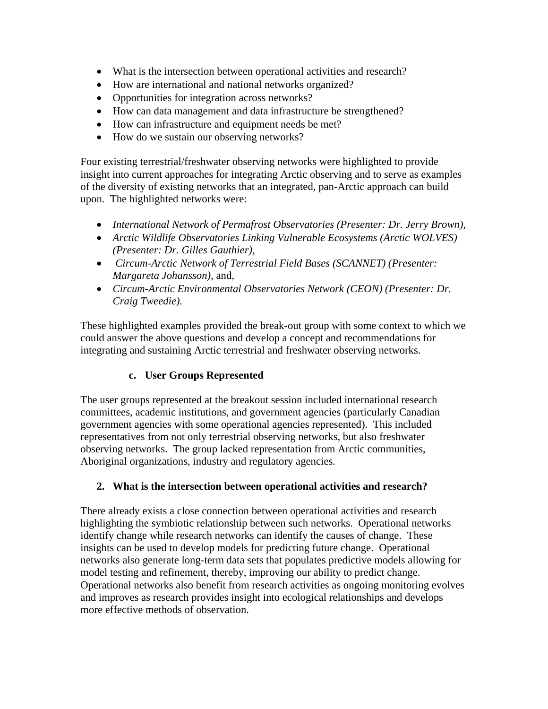- What is the intersection between operational activities and research?
- How are international and national networks organized?
- Opportunities for integration across networks?
- How can data management and data infrastructure be strengthened?
- How can infrastructure and equipment needs be met?
- How do we sustain our observing networks?

Four existing terrestrial/freshwater observing networks were highlighted to provide insight into current approaches for integrating Arctic observing and to serve as examples of the diversity of existing networks that an integrated, pan-Arctic approach can build upon. The highlighted networks were:

- *International Network of Permafrost Observatories (Presenter: Dr. Jerry Brown),*
- *Arctic Wildlife Observatories Linking Vulnerable Ecosystems (Arctic WOLVES) (Presenter: Dr. Gilles Gauthier),*
- • *Circum-Arctic Network of Terrestrial Field Bases (SCANNET) (Presenter: Margareta Johansson),* and,
- *Circum-Arctic Environmental Observatories Network (CEON) (Presenter: Dr. Craig Tweedie).*

These highlighted examples provided the break-out group with some context to which we could answer the above questions and develop a concept and recommendations for integrating and sustaining Arctic terrestrial and freshwater observing networks.

# **c. User Groups Represented**

The user groups represented at the breakout session included international research committees, academic institutions, and government agencies (particularly Canadian government agencies with some operational agencies represented). This included representatives from not only terrestrial observing networks, but also freshwater observing networks. The group lacked representation from Arctic communities, Aboriginal organizations, industry and regulatory agencies.

# **2. What is the intersection between operational activities and research?**

There already exists a close connection between operational activities and research highlighting the symbiotic relationship between such networks. Operational networks identify change while research networks can identify the causes of change. These insights can be used to develop models for predicting future change. Operational networks also generate long-term data sets that populates predictive models allowing for model testing and refinement, thereby, improving our ability to predict change. Operational networks also benefit from research activities as ongoing monitoring evolves and improves as research provides insight into ecological relationships and develops more effective methods of observation.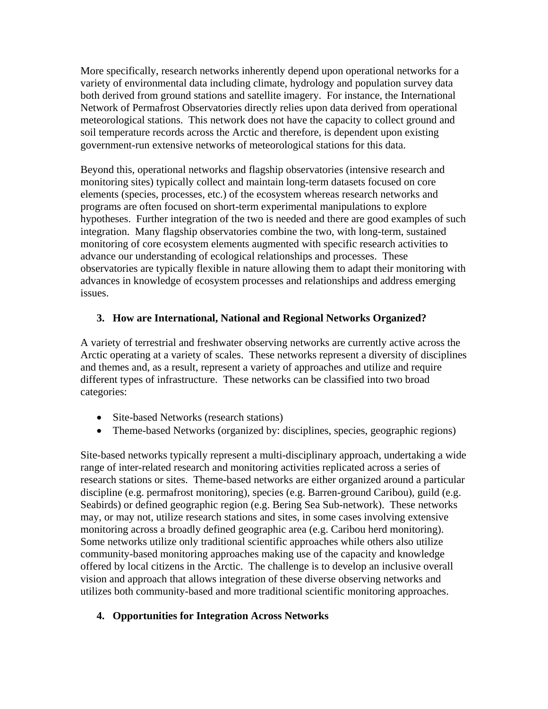More specifically, research networks inherently depend upon operational networks for a variety of environmental data including climate, hydrology and population survey data both derived from ground stations and satellite imagery. For instance, the International Network of Permafrost Observatories directly relies upon data derived from operational meteorological stations. This network does not have the capacity to collect ground and soil temperature records across the Arctic and therefore, is dependent upon existing government-run extensive networks of meteorological stations for this data.

Beyond this, operational networks and flagship observatories (intensive research and monitoring sites) typically collect and maintain long-term datasets focused on core elements (species, processes, etc.) of the ecosystem whereas research networks and programs are often focused on short-term experimental manipulations to explore hypotheses. Further integration of the two is needed and there are good examples of such integration. Many flagship observatories combine the two, with long-term, sustained monitoring of core ecosystem elements augmented with specific research activities to advance our understanding of ecological relationships and processes. These observatories are typically flexible in nature allowing them to adapt their monitoring with advances in knowledge of ecosystem processes and relationships and address emerging issues.

# **3. How are International, National and Regional Networks Organized?**

A variety of terrestrial and freshwater observing networks are currently active across the Arctic operating at a variety of scales. These networks represent a diversity of disciplines and themes and, as a result, represent a variety of approaches and utilize and require different types of infrastructure. These networks can be classified into two broad categories:

- Site-based Networks (research stations)
- Theme-based Networks (organized by: disciplines, species, geographic regions)

Site-based networks typically represent a multi-disciplinary approach, undertaking a wide range of inter-related research and monitoring activities replicated across a series of research stations or sites. Theme-based networks are either organized around a particular discipline (e.g. permafrost monitoring), species (e.g. Barren-ground Caribou), guild (e.g. Seabirds) or defined geographic region (e.g. Bering Sea Sub-network). These networks may, or may not, utilize research stations and sites, in some cases involving extensive monitoring across a broadly defined geographic area (e.g. Caribou herd monitoring). Some networks utilize only traditional scientific approaches while others also utilize community-based monitoring approaches making use of the capacity and knowledge offered by local citizens in the Arctic. The challenge is to develop an inclusive overall vision and approach that allows integration of these diverse observing networks and utilizes both community-based and more traditional scientific monitoring approaches.

# **4. Opportunities for Integration Across Networks**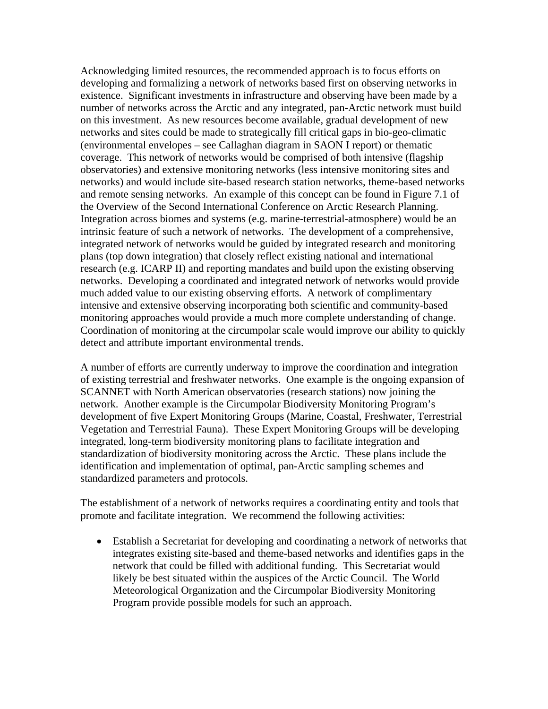Acknowledging limited resources, the recommended approach is to focus efforts on developing and formalizing a network of networks based first on observing networks in existence. Significant investments in infrastructure and observing have been made by a number of networks across the Arctic and any integrated, pan-Arctic network must build on this investment. As new resources become available, gradual development of new networks and sites could be made to strategically fill critical gaps in bio-geo-climatic (environmental envelopes – see Callaghan diagram in SAON I report) or thematic coverage. This network of networks would be comprised of both intensive (flagship observatories) and extensive monitoring networks (less intensive monitoring sites and networks) and would include site-based research station networks, theme-based networks and remote sensing networks. An example of this concept can be found in Figure 7.1 of the Overview of the Second International Conference on Arctic Research Planning. Integration across biomes and systems (e.g. marine-terrestrial-atmosphere) would be an intrinsic feature of such a network of networks. The development of a comprehensive, integrated network of networks would be guided by integrated research and monitoring plans (top down integration) that closely reflect existing national and international research (e.g. ICARP II) and reporting mandates and build upon the existing observing networks. Developing a coordinated and integrated network of networks would provide much added value to our existing observing efforts. A network of complimentary intensive and extensive observing incorporating both scientific and community-based monitoring approaches would provide a much more complete understanding of change. Coordination of monitoring at the circumpolar scale would improve our ability to quickly detect and attribute important environmental trends.

A number of efforts are currently underway to improve the coordination and integration of existing terrestrial and freshwater networks. One example is the ongoing expansion of SCANNET with North American observatories (research stations) now joining the network. Another example is the Circumpolar Biodiversity Monitoring Program's development of five Expert Monitoring Groups (Marine, Coastal, Freshwater, Terrestrial Vegetation and Terrestrial Fauna). These Expert Monitoring Groups will be developing integrated, long-term biodiversity monitoring plans to facilitate integration and standardization of biodiversity monitoring across the Arctic. These plans include the identification and implementation of optimal, pan-Arctic sampling schemes and standardized parameters and protocols.

The establishment of a network of networks requires a coordinating entity and tools that promote and facilitate integration. We recommend the following activities:

• Establish a Secretariat for developing and coordinating a network of networks that integrates existing site-based and theme-based networks and identifies gaps in the network that could be filled with additional funding. This Secretariat would likely be best situated within the auspices of the Arctic Council. The World Meteorological Organization and the Circumpolar Biodiversity Monitoring Program provide possible models for such an approach.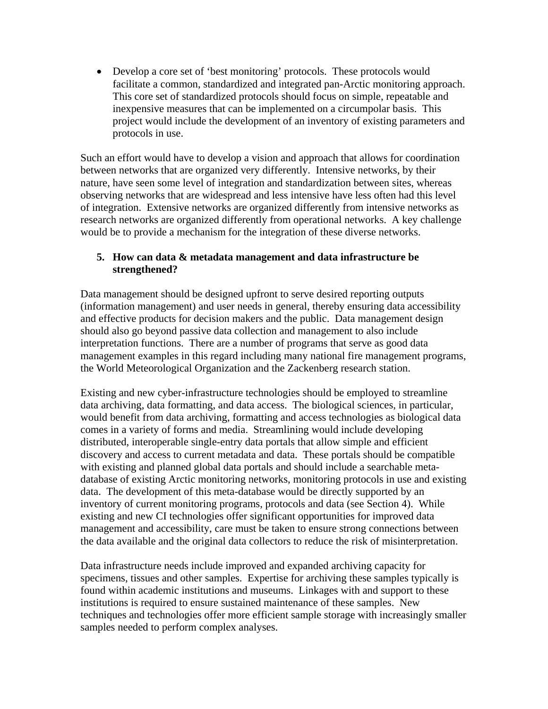• Develop a core set of 'best monitoring' protocols. These protocols would facilitate a common, standardized and integrated pan-Arctic monitoring approach. This core set of standardized protocols should focus on simple, repeatable and inexpensive measures that can be implemented on a circumpolar basis. This project would include the development of an inventory of existing parameters and protocols in use.

Such an effort would have to develop a vision and approach that allows for coordination between networks that are organized very differently. Intensive networks, by their nature, have seen some level of integration and standardization between sites, whereas observing networks that are widespread and less intensive have less often had this level of integration. Extensive networks are organized differently from intensive networks as research networks are organized differently from operational networks. A key challenge would be to provide a mechanism for the integration of these diverse networks.

#### **5. How can data & metadata management and data infrastructure be strengthened?**

Data management should be designed upfront to serve desired reporting outputs (information management) and user needs in general, thereby ensuring data accessibility and effective products for decision makers and the public. Data management design should also go beyond passive data collection and management to also include interpretation functions. There are a number of programs that serve as good data management examples in this regard including many national fire management programs, the World Meteorological Organization and the Zackenberg research station.

Existing and new cyber-infrastructure technologies should be employed to streamline data archiving, data formatting, and data access. The biological sciences, in particular, would benefit from data archiving, formatting and access technologies as biological data comes in a variety of forms and media. Streamlining would include developing distributed, interoperable single-entry data portals that allow simple and efficient discovery and access to current metadata and data. These portals should be compatible with existing and planned global data portals and should include a searchable metadatabase of existing Arctic monitoring networks, monitoring protocols in use and existing data. The development of this meta-database would be directly supported by an inventory of current monitoring programs, protocols and data (see Section 4). While existing and new CI technologies offer significant opportunities for improved data management and accessibility, care must be taken to ensure strong connections between the data available and the original data collectors to reduce the risk of misinterpretation.

Data infrastructure needs include improved and expanded archiving capacity for specimens, tissues and other samples. Expertise for archiving these samples typically is found within academic institutions and museums. Linkages with and support to these institutions is required to ensure sustained maintenance of these samples. New techniques and technologies offer more efficient sample storage with increasingly smaller samples needed to perform complex analyses.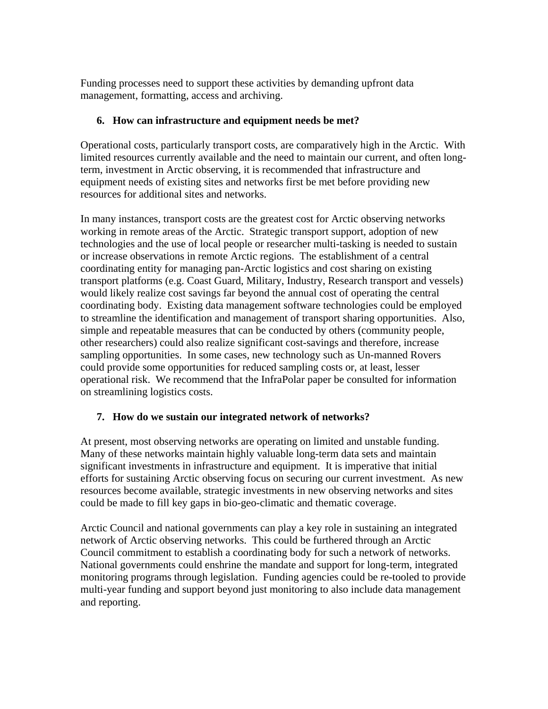Funding processes need to support these activities by demanding upfront data management, formatting, access and archiving.

#### **6. How can infrastructure and equipment needs be met?**

Operational costs, particularly transport costs, are comparatively high in the Arctic. With limited resources currently available and the need to maintain our current, and often longterm, investment in Arctic observing, it is recommended that infrastructure and equipment needs of existing sites and networks first be met before providing new resources for additional sites and networks.

In many instances, transport costs are the greatest cost for Arctic observing networks working in remote areas of the Arctic. Strategic transport support, adoption of new technologies and the use of local people or researcher multi-tasking is needed to sustain or increase observations in remote Arctic regions. The establishment of a central coordinating entity for managing pan-Arctic logistics and cost sharing on existing transport platforms (e.g. Coast Guard, Military, Industry, Research transport and vessels) would likely realize cost savings far beyond the annual cost of operating the central coordinating body. Existing data management software technologies could be employed to streamline the identification and management of transport sharing opportunities. Also, simple and repeatable measures that can be conducted by others (community people, other researchers) could also realize significant cost-savings and therefore, increase sampling opportunities. In some cases, new technology such as Un-manned Rovers could provide some opportunities for reduced sampling costs or, at least, lesser operational risk. We recommend that the InfraPolar paper be consulted for information on streamlining logistics costs.

# **7. How do we sustain our integrated network of networks?**

At present, most observing networks are operating on limited and unstable funding. Many of these networks maintain highly valuable long-term data sets and maintain significant investments in infrastructure and equipment. It is imperative that initial efforts for sustaining Arctic observing focus on securing our current investment. As new resources become available, strategic investments in new observing networks and sites could be made to fill key gaps in bio-geo-climatic and thematic coverage.

Arctic Council and national governments can play a key role in sustaining an integrated network of Arctic observing networks. This could be furthered through an Arctic Council commitment to establish a coordinating body for such a network of networks. National governments could enshrine the mandate and support for long-term, integrated monitoring programs through legislation. Funding agencies could be re-tooled to provide multi-year funding and support beyond just monitoring to also include data management and reporting.